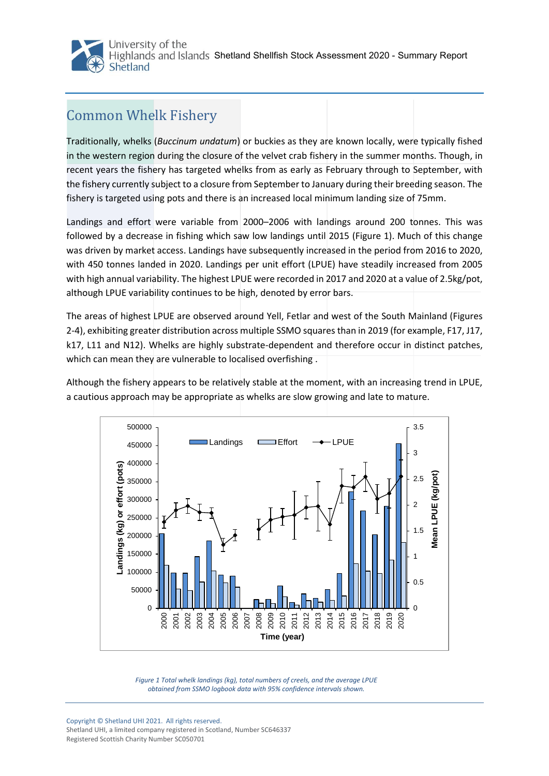

## Common Whelk Fishery

Traditionally, whelks (*Buccinum undatum*) or buckies as they are known locally, were typically fished in the western region during the closure of the velvet crab fishery in the summer months. Though, in recent years the fishery has targeted whelks from as early as February through to September, with the fishery currently subject to a closure from September to January during their breeding season. The fishery is targeted using pots and there is an increased local minimum landing size of 75mm.

Landings and effort were variable from 2000–2006 with landings around 200 tonnes. This was followed by a decrease in fishing which saw low landings until 2015 (Figure 1). Much of this change was driven by market access. Landings have subsequently increased in the period from 2016 to 2020, with 450 tonnes landed in 2020. Landings per unit effort (LPUE) have steadily increased from 2005 with high annual variability. The highest LPUE were recorded in 2017 and 2020 at a value of 2.5kg/pot, although LPUE variability continues to be high, denoted by error bars.

The areas of highest LPUE are observed around Yell, Fetlar and west of the South Mainland (Figures 2-4), exhibiting greater distribution across multiple SSMO squares than in 2019 (for example, F17, J17, k17, L11 and N12). Whelks are highly substrate-dependent and therefore occur in distinct patches, which can mean they are vulnerable to localised overfishing .

Although the fishery appears to be relatively stable at the moment, with an increasing trend in LPUE, a cautious approach may be appropriate as whelks are slow growing and late to mature.



*Figure 1 Total whelk landings (kg), total numbers of creels, and the average LPUE obtained from SSMO logbook data with 95% confidence intervals shown.*